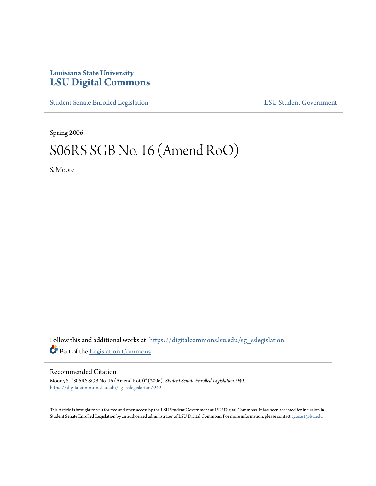## **Louisiana State University [LSU Digital Commons](https://digitalcommons.lsu.edu?utm_source=digitalcommons.lsu.edu%2Fsg_sslegislation%2F949&utm_medium=PDF&utm_campaign=PDFCoverPages)**

[Student Senate Enrolled Legislation](https://digitalcommons.lsu.edu/sg_sslegislation?utm_source=digitalcommons.lsu.edu%2Fsg_sslegislation%2F949&utm_medium=PDF&utm_campaign=PDFCoverPages) [LSU Student Government](https://digitalcommons.lsu.edu/sg?utm_source=digitalcommons.lsu.edu%2Fsg_sslegislation%2F949&utm_medium=PDF&utm_campaign=PDFCoverPages)

Spring 2006

## S06RS SGB No. 16 (Amend RoO)

S. Moore

Follow this and additional works at: [https://digitalcommons.lsu.edu/sg\\_sslegislation](https://digitalcommons.lsu.edu/sg_sslegislation?utm_source=digitalcommons.lsu.edu%2Fsg_sslegislation%2F949&utm_medium=PDF&utm_campaign=PDFCoverPages) Part of the [Legislation Commons](http://network.bepress.com/hgg/discipline/859?utm_source=digitalcommons.lsu.edu%2Fsg_sslegislation%2F949&utm_medium=PDF&utm_campaign=PDFCoverPages)

## Recommended Citation

Moore, S., "S06RS SGB No. 16 (Amend RoO)" (2006). *Student Senate Enrolled Legislation*. 949. [https://digitalcommons.lsu.edu/sg\\_sslegislation/949](https://digitalcommons.lsu.edu/sg_sslegislation/949?utm_source=digitalcommons.lsu.edu%2Fsg_sslegislation%2F949&utm_medium=PDF&utm_campaign=PDFCoverPages)

This Article is brought to you for free and open access by the LSU Student Government at LSU Digital Commons. It has been accepted for inclusion in Student Senate Enrolled Legislation by an authorized administrator of LSU Digital Commons. For more information, please contact [gcoste1@lsu.edu.](mailto:gcoste1@lsu.edu)